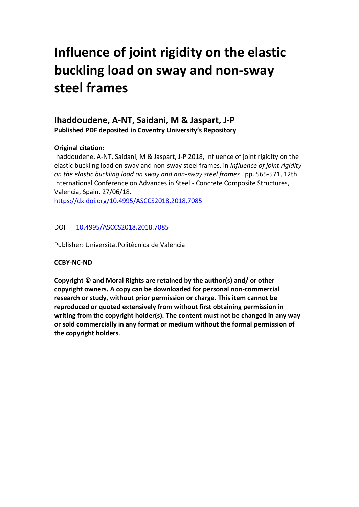# **Influence of joint rigidity on the elastic buckling load on sway and non-sway steel frames**

# **Ihaddoudene, A-NT, Saidani, M & Jaspart, J-P Published PDF deposited in Coventry University's Repository**

# **Original citation:**

Ihaddoudene, A-NT, Saidani, M & Jaspart, J-P 2018, Influence of joint rigidity on the elastic buckling load on sway and non-sway steel frames. in *Influence of joint rigidity on the elastic buckling load on sway and non-sway steel frames .* pp. 565-571, 12th International Conference on Advances in Steel - Concrete Composite Structures, Valencia, Spain, 27/06/18.

<https://dx.doi.org/10.4995/ASCCS2018.2018.7085>

# DOI [10.4995/ASCCS2018.2018.7085](http://dx.doi.org/10.4995/ASCCS2018.2018.7085)

Publisher: UniversitatPolitècnica de València

## **CCBY-NC-ND**

**Copyright © and Moral Rights are retained by the author(s) and/ or other copyright owners. A copy can be downloaded for personal non-commercial research or study, without prior permission or charge. This item cannot be reproduced or quoted extensively from without first obtaining permission in writing from the copyright holder(s). The content must not be changed in any way or sold commercially in any format or medium without the formal permission of the copyright holders**.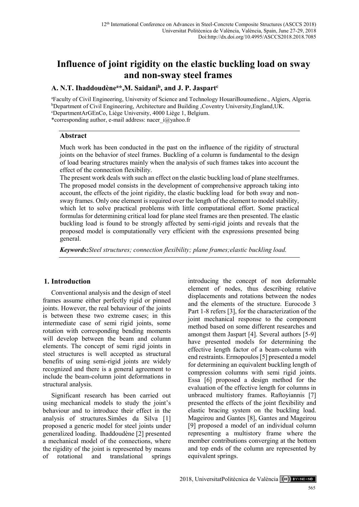# **Influence of joint rigidity on the elastic buckling load on sway and non-sway steel frames**

# **A. N.T. Ihaddoudène<sup>a</sup>\*,M. Saidani<sup>b</sup> , and J. P. Jaspart<sup>c</sup>**

<sup>a</sup>Faculty of Civil Engineering, University of Science and Technology HouariBoumediene., Algiers, Algeria. <sup>b</sup>Department of Civil Engineering, Architecture and Building ,Coventry University,England,UK. <sup>c</sup>DepartmentArGEnCo, Liège University, 4000 Liège 1, Belgium. \*corresponding author, e-mail address: nacer\_i@yahoo.fr

#### **Abstract**

Much work has been conducted in the past on the influence of the rigidity of structural joints on the behavior of steel frames. Buckling of a column is fundamental to the design of load bearing structures mainly when the analysis of such frames takes into account the effect of the connection flexibility.

The present work deals with such an effect on the elastic buckling load of plane steelframes. The proposed model consists in the development of comprehensive approach taking into account, the effects of the joint rigidity, the elastic buckling load for both sway and nonsway frames. Only one element is required over the length of the element to model stability, which let to solve practical problems with little computational effort. Some practical formulas for determining critical load for plane steel frames are then presented. The elastic buckling load is found to be strongly affected by semi-rigid joints and reveals that the proposed model is computationally very efficient with the expressions presented being general.

*Keywords:Steel structures; connection flexibility; plane frames;elastic buckling load.*

## **1. Introduction**

Conventional analysis and the design of steel frames assume either perfectly rigid or pinned joints. However, the real behaviour of the joints is between these two extreme cases; in this intermediate case of semi rigid joints, some rotation with corresponding bending moments will develop between the beam and column elements. The concept of semi rigid joints in steel structures is well accepted as structural benefits of using semi-rigid joints are widely recognized and there is a general agreement to include the beam-column joint deformations in structural analysis.

Significant research has been carried out using mechanical models to study the joint's behaviour and to introduce their effect in the analysis of structures.Simões da Silva [1] proposed a generic model for steel joints under generalized loading. Ihaddoudène [2] presented a mechanical model of the connections, where the rigidity of the joint is represented by means of rotational and translational springs

introducing the concept of non deformable element of nodes, thus describing relative displacements and rotations between the nodes and the elements of the structure. Eurocode 3 Part 1-8 refers [3], for the characterization of the joint mechanical response to the component method based on some different researches and amongst them Jaspart [4]. Several authors [5-9] have presented models for determining the effective length factor of a beam-column with end restraints. Ermopoulos [5] presented a model for determining an equivalent buckling length of compression columns with semi rigid joints. Essa [6] proposed a design method for the evaluation of the effective length for columns in unbraced multistory frames. Raftoyiannis [7] presented the effects of the joint flexibility and elastic bracing system on the buckling load. Mageirou and Gantes [8], Gantes and Mageirou [9] proposed a model of an individual column representing a multistory frame where the member contributions converging at the bottom and top ends of the column are represented by equivalent springs.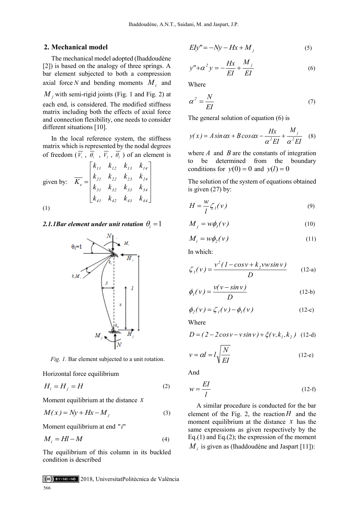#### **2. Mechanical model**

The mechanical model adopted (Ihaddoudène [2]) is based on the analogy of three springs. A bar element subjected to both a compression axial force N and bending moments  $M_i$  and  $M_{j}$  with semi-rigid joints (Fig. 1 and Fig. 2) at each end, is considered. The modified stiffness matrix including both the effects of axial force and connection flexibility, one needs to consider different situations [10].

In the local reference system, the stiffness matrix which is represented by the nodal degrees of freedom  $(V_1, \theta_1, V_2, \theta_2)$  of an element is

$$
\text{given by:} \quad \overline{K_e} = \begin{bmatrix} k_{11} & k_{12} & k_{13} & k_{14} \\ k_{21} & k_{22} & k_{23} & k_{24} \\ k_{31} & k_{32} & k_{33} & k_{34} \\ k_{41} & k_{42} & k_{43} & k_{44} \end{bmatrix}
$$
\n
$$
(1)
$$

# 2.1.1Bar element under unit rotation  $\theta_i = 1$



*Fig. 1.* Bar element subjected to a unit rotation.

Horizontal force equilibrium

$$
H_i = H_j = H \tag{2}
$$

Moment equilibrium at the distance *x*

$$
M(x) = Ny + Hx - M_j \tag{3}
$$

Moment equilibrium at end "i"

$$
M_i = Hl - M \tag{4}
$$

The equilibrium of this column in its buckled condition is described

$$
EIy'' = -Ny - Hx + M_j \tag{5}
$$

$$
y'' + \alpha^2 y = -\frac{Hx}{EI} + \frac{M_j}{EI}
$$
 (6)

Where

$$
\alpha^2 = \frac{N}{EI} \tag{7}
$$

The general solution of equation (6) is

$$
y(x) = A \sin \alpha x + B \cos \alpha x - \frac{Hx}{\alpha^2 EI} + \frac{M_j}{\alpha^2 EI} \quad (8)
$$

where  $A$  and  $B$  are the constants of integration to be determined from the boundary conditions for  $y(0) = 0$  and  $y(l) = 0$ 

The solution of the system of equations obtained is given (27) by:

$$
H = \frac{w}{l} \zeta_l(v) \tag{9}
$$

$$
M_j = w\phi_l(v) \tag{10}
$$

$$
M_i = w\phi_2(v) \tag{11}
$$

In which:

$$
\zeta_1(\nu) = \frac{\nu^2 (1 - \cos \nu + k_2 \nu w \sin \nu)}{D}
$$
 (12-a)

$$
\phi_I(v) = \frac{v(v - \sin v)}{D} \tag{12-b}
$$

$$
\phi_2(\nu) = \zeta_1(\nu) - \phi_1(\nu) \tag{12-c}
$$

Where

$$
D = (2 - 2\cos v - v\sin v) + \xi(v, k_1, k_2)
$$
 (12-d)

$$
v = \alpha l = l \sqrt{\frac{N}{EI}}
$$
 (12-e)

And

$$
w = \frac{EI}{l} \tag{12-f}
$$

A similar procedure is conducted for the bar element of the Fig. 2, the reaction  $H$  and the moment equilibrium at the distance  $x$  has the same expressions as given respectively by the Eq.(1) and Eq.(2); the expression of the moment  $M_i$  is given as (Ihaddoudène and Jaspart [11]):

2018, UniversitatPolitècnica de València 566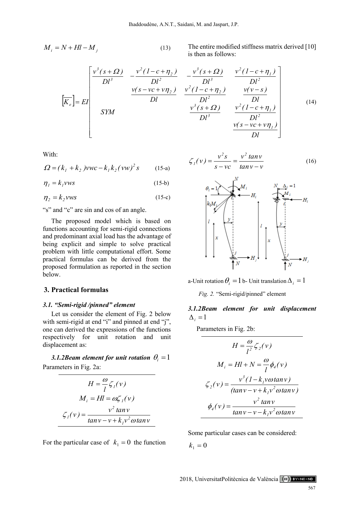$$
M_i = N + Hl - M_j \tag{13}
$$

The entire modified stiffness matrix derived [10] is then as follows:

$$
\begin{bmatrix}\n\overline{K}_e \\
\overline{K}_e\n\end{bmatrix} = EI\n\begin{bmatrix}\n\frac{v^3(s+Q)}{Dl^3} & -\frac{v^2(1-c+\eta_2)}{Dl^2} & -\frac{v^3(s+Q)}{Dl^3} & \frac{v^2(1-c+\eta_1)}{Dl^2} \\
\frac{v(s-vc+v\eta_2)}{Dl} & \frac{v^2(1-c+\eta_2)}{Dl^2} & \frac{v(v-s)}{Dl} \\
\frac{v^3(s+Q)}{Dl^3} & \frac{v^2(1-c+\eta_1)}{Dl^2} & \frac{v^2(1-c+\eta_1)}{Dl^2} \\
\frac{v(s-vc+v\eta_1)}{Dl} & \frac{v(s-vc+v\eta_1)}{Dl}\n\end{bmatrix}
$$
\n(14)

With:

$$
\Omega = (k_1 + k_2) \text{VWC} - k_1 k_2 (\text{VW})^2 \text{ s} \tag{15-a}
$$

$$
\eta_1 = k_1 \nu \nu s \tag{15-b}
$$

 $\eta_2 = k_2$ *vws* (15-c)

"s" and "c" are sin and cos of an angle.

The proposed model which is based on functions accounting for semi-rigid connections and predominant axial load has the advantage of being explicit and simple to solve practical problem with little computational effort. Some practical formulas can be derived from the proposed formulation as reported in the section below.

#### **3. Practical formulas**

#### *3.1. "Semi-rigid /pinned" element*

Let us consider the element of Fig. 2 below with semi-rigid at end "i" and pinned at end "j", one can derived the expressions of the functions respectively for unit rotation and unit displacement as:

3.1.2Beam element for unit rotation  $\theta_i = 1$ Parameters in Fig. 2a:

$$
H = \frac{\omega}{l} \zeta_l(v)
$$
  

$$
M_i = Hl = \omega \zeta_l(v)
$$
  

$$
\zeta_l(v) = \frac{v^2 \tan v}{\tan v - v + k_l v^2 \omega \tan v}
$$

For the particular case of  $k_1 = 0$  the function

$$
\zeta_1(\nu) = \frac{\nu^2 s}{s - \nu c} = \frac{\nu^2 \tan \nu}{\tan \nu - \nu} \tag{16}
$$



a-Unit rotation  $\theta_i = 1$  b- Unit translation  $\Delta_i = 1$ 

*Fig. 2.* "Semi-rigid/pinned" element

# *3.1.2Beam element for unit displacement*   $\Delta_i = 1$

Parameters in Fig. 2b:

$$
H = \frac{\omega}{l^2} \zeta_2(v)
$$
  

$$
M_i = Hl + N = \frac{\omega}{l} \phi_4(v)
$$
  

$$
\zeta_2(v) = \frac{v^3 (1 - k_i v \omega \tan v)}{(\tan v - v + k_i v^2 \omega \tan v)}
$$
  

$$
\phi_4(v) = \frac{v^2 \tan v}{\tan v - v - k_i v^2 \omega \tan v}
$$

Some particular cases can be considered:

 $k_1 = 0$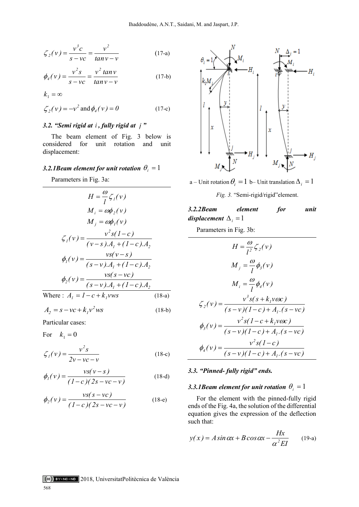$$
\zeta_2(v) = \frac{v^3 c}{s - v c} = \frac{v^2}{\tan v - v}
$$
 (17-a)

$$
\phi_4(v) = \frac{v^2 s}{s - v c} = \frac{v^2 \tan v}{\tan v - v}
$$
 (17-b)

$$
k_1 = \infty
$$

$$
\zeta_2(v) = -v^2 \text{ and } \phi_4(v) = 0
$$
 (17-c)

#### *3.2. "Semi rigid at i , fully rigid at j "*

The beam element of Fig. 3 below is considered for unit rotation and unit displacement:

# 3.2.1Beam element for unit rotation  $\theta_i = 1$

Parameters in Fig. 3a:

$$
H = \frac{\omega}{l} \zeta_{1}(v)
$$
  
\n
$$
M_{i} = \omega \phi_{2}(v)
$$
  
\n
$$
M_{j} = \omega \phi_{1}(v)
$$
  
\n
$$
\zeta_{1}(v) = \frac{v^{2} s (1 - c)}{(v - s) A_{1} + (1 - c) A_{2}}
$$
  
\n
$$
\phi_{1}(v) = \frac{v s (v - s)}{(s - v) A_{1} + (1 - c) A_{2}}
$$
  
\n
$$
\phi_{2}(v) = \frac{v s (s - v c)}{(s - v) A_{1} + (1 - c) A_{2}}
$$
  
\nWhere:  $A_{1} = 1 - c + k_{1} v w s$  (18-a)  
\n $A_{2} = s - v c + k_{1} v^{2} w s$  (18-b)

$$
A_2 = s - \nu c + k_I v^2 w s \tag{3}
$$

Particular cases:

For  $k_1 = 0$ 

$$
\zeta_1(v) = \frac{v^2 s}{2v - vc - v}
$$
 (18-c)

$$
\phi_{1}(v) = \frac{vs(v - s)}{(1 - c)(2s - vc - v)}
$$
(18-d)

$$
\phi_2(v) = \frac{vs(s - vc)}{(1 - c)(2s - vc - v)}
$$
(18-e)



a – Unit rotation  $\theta_i = 1$  b– Unit translation  $\Delta_i = 1$ 

*Fig. 3.* "Semi-rigid/rigid"element.

3.2.2Beam element for unit  
displacement 
$$
\Delta_i = 1
$$

Parameters in Fig. 3b:

$$
H = \frac{\omega}{l^2} \zeta_2(v)
$$
  
\n
$$
M_j = \frac{\omega}{l} \phi_3(v)
$$
  
\n
$$
M_i = \frac{\omega}{l} \phi_4(v)
$$
  
\n
$$
\zeta_2(v) = \frac{v^3 s(s + k_1 v \omega c)}{(s - v)(1 - c) + A_l.(s - vc)}
$$
  
\n
$$
\phi_3(v) = \frac{v^2 s(1 - c + k_1 v \omega c)}{(s - v)(1 - c) + A_l.(s - vc)}
$$
  
\n
$$
\phi_4(v) = \frac{v^2 s(1 - c)}{(s - v)(1 - c) + A_l.(s - vc)}
$$

#### *3.3. "Pinned- fully rigid" ends.*

# 3.3.1 Beam element for unit rotation  $\theta_i = 1$

For the element with the pinned-fully rigid ends of the Fig. 4a, the solution of the differential equation gives the expression of the deflection such that:

$$
y(x) = A \sin \alpha x + B \cos \alpha x - \frac{Hx}{\alpha^2 EI} \qquad (19-a)
$$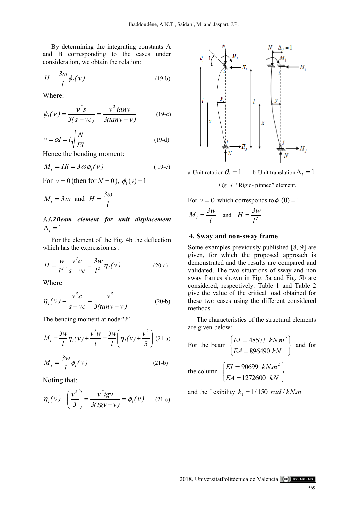By determining the integrating constants A and B corresponding to the cases under consideration, we obtain the relation:

$$
H = \frac{3\omega}{l} \phi_l(\nu) \tag{19-b}
$$

Where:

$$
\phi_{I}(v) = \frac{v^{2} s}{3(s - vc)} = \frac{v^{2} \tan v}{3(\tan v - v)}
$$
(19-c)

$$
v = \alpha l = l \sqrt{\frac{N}{EI}}
$$
 (19-d)

Hence the bending moment:

$$
M_i = Hl = 3\omega\phi_i(v)
$$
 (19-e)

For  $v = 0$  (then for  $N = 0$ ),  $\phi_1(v) = 1$ 

$$
M_i = 3\omega
$$
 and  $H = \frac{3\omega}{l}$ 

## *3.3.2Beam element for unit displacement*   $\Delta_i = 1$

For the element of the Fig. 4b the deflection which has the expression as :

$$
H = \frac{w}{l^2} \cdot \frac{v^3 c}{s - v c} = \frac{3w}{l^2} \eta_l(v)
$$
 (20-a)

Where

$$
\eta_1(v) = \frac{v^3 c}{s - v c} = \frac{v^3}{3(tan v - v)}
$$
 (20-b)

The bending moment at node *"i"*

$$
M_{i} = \frac{3w}{l} \eta_{I}(v) + \frac{v^{2}w}{l} = \frac{3w}{l} \left(\eta_{I}(v) + \frac{v^{2}}{3}\right)
$$
 (21-a)  

$$
M_{i} = \frac{3w}{l} \phi_{I}(v)
$$
 (21-b)

Noting that:

$$
\eta_I(v) + \left(\frac{v^2}{3}\right) = \frac{v^2tgv}{3(tgv - v)} = \phi_I(v) \qquad (21-c)
$$



a-Unit rotation  $\theta_i = 1$ b-Unit translation  $\Delta_i = 1$ 

*Fig. 4.* "Rigid- pinned" element.

For  $v = 0$  which corresponds to  $\phi_1(0) = 1$ 

$$
M_i = \frac{3w}{l}
$$
 and  $H = \frac{3w}{l^2}$ 

#### **4. Sway and non-sway frame**

Some examples previously published [8, 9] are given, for which the proposed approach is demonstrated and the results are compared and validated. The two situations of sway and non sway frames shown in Fig. 5a and Fig. 5b are considered, respectively. Table 1 and Table 2 give the value of the critical load obtained for these two cases using the different considered methods.

The characteristics of the structural elements are given below:

For the beam 
$$
\begin{cases} EI = 48573 & kN.m^2 \\ EA = 896490 & kN \end{cases}
$$
 and for  
the column 
$$
\begin{cases} EI = 90699 & kN.m^2 \\ EA = 1272600 & kN \end{cases}
$$

and the flexibility  $k_1 = 1/150 \text{ rad}/kN$ .*m* 

2018, UniversitatPolitècnica de València (cc) BY-NC-ND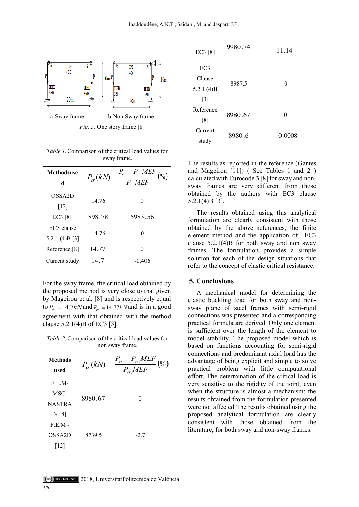

*Fig. 5.* One story frame [8]

*Table 1.*Comparison of the critical load values for sway frame.

| <b>Methodsuse</b><br>d | $P_{cr}(kN)$ | $\frac{P_{cr}-P_{cr,MEF}}{P_{cr,MEF}}$<br>$($ % $)$ |  |
|------------------------|--------------|-----------------------------------------------------|--|
| OSSA <sub>2</sub> D    | 14.76        |                                                     |  |
| $[12]$                 |              |                                                     |  |
| EC3 [8]                | 898.78       | 5983.56                                             |  |
| EC3 clause             |              |                                                     |  |
| 5.2.1 (4) $B[3]$       | 14.76        | 0                                                   |  |
| Reference [8]          | 14.77        |                                                     |  |
| Current study          | 14.7         | $-0.406$                                            |  |

For the sway frame, the critical load obtained by the proposed method is very close to that given by Mageirou et al. [8] and is respectively equal to  $P_{cr} = 14.7kN$  and  $P_{cr} = 14.77kN$  and is in a good agreement with that obtained with the method clause 5.2.1(4)B of EC3 [3].

*Table 2.*Comparison of the critical load values for non sway frame.

| <b>Methods</b><br>used | $P_{cr}(kN)$ | $P_{cr} - P_{cr, MEF}$<br>$(\%)$<br>$\overline{P_{cr,} MEF}$ |
|------------------------|--------------|--------------------------------------------------------------|
| $F.E.M-$               |              |                                                              |
| MSC-                   | 8980.67      | $\theta$                                                     |
| <b>NASTRA</b>          |              |                                                              |
| N[8]                   |              |                                                              |
| $F.E.M -$              |              |                                                              |
| OSSA <sub>2</sub> D    | 8739.5       | $-2.7$                                                       |
| [12]                   |              |                                                              |

| EC3 [8]         | 9980.74 | 11.14     |
|-----------------|---------|-----------|
| EC <sub>3</sub> |         |           |
| Clause          | 8987.5  | 0         |
| 5.2.1 $(4)B$    |         |           |
| $[3]$           |         |           |
| Reference       | 8980.67 | 0         |
| [8]             |         |           |
| Current         | 8980.6  | $-0.0008$ |
| study           |         |           |

The results as reported in the reference (Gantes and Mageirou [11]) ( See Tables 1 and 2 ) calculated with Eurocode 3 [8] for sway and nonsway frames are very different from those obtained by the authors with EC3 clause 5.2.1(4)B [3].

The results obtained using this analytical formulation are clearly consistent with those obtained by the above references, the finite element method and the application of EC3 clause  $5.2.1(4)$ B for both sway and non sway frames. The formulation provides a simple solution for each of the design situations that refer to the concept of elastic critical resistance.

#### **5. Conclusions**

A mechanical model for determining the elastic buckling load for both sway and nonsway plane of steel frames with semi-rigid connections was presented and a corresponding practical formula are derived. Only one element is sufficient over the length of the element to model stability. The proposed model which is based on functions accounting for semi-rigid connections and predominant axial load has the advantage of being explicit and simple to solve practical problem with little computational effort. The determination of the critical load is very sensitive to the rigidity of the joint, even when the structure is almost a mechanism; the results obtained from the formulation presented were not affected.The results obtained using the proposed analytical formulation are clearly consistent with those obtained from the literature, for both sway and non-sway frames.

# 2018, UniversitatPolitècnica de València